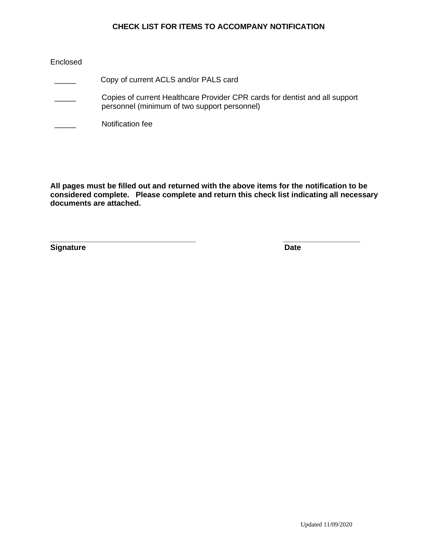# **CHECK LIST FOR ITEMS TO ACCOMPANY NOTIFICATION**

# Enclosed

Copy of current ACLS and/or PALS card \_\_\_\_\_ Copies of current Healthcare Provider CPR cards for dentist and all support personnel (minimum of two support personnel) Notification fee

**All pages must be filled out and returned with the above items for the notification to be considered complete. Please complete and return this check list indicating all necessary documents are attached.** 

**\_\_\_\_\_\_\_\_\_\_\_\_\_\_\_\_\_\_\_\_\_\_\_\_\_\_\_\_\_\_\_\_\_\_ \_\_\_\_\_\_\_\_\_\_\_\_\_\_\_\_\_\_**

**Signature Date**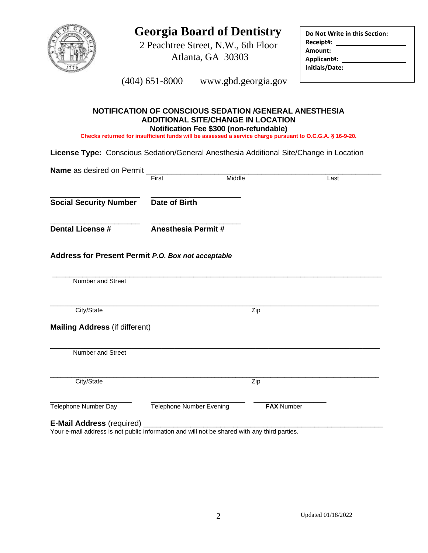

# **Georgia Board of Dentistry**

 2 Peachtree Street, N.W., 6th Floor Atlanta, GA 30303

| Amount:        |  |
|----------------|--|
| Applicant#:    |  |
| Initials/Date: |  |

(404) 651-8000 www.gbd.georgia.gov

## **NOTIFICATION OF CONSCIOUS SEDATION /GENERAL ANESTHESIA ADDITIONAL SITE/CHANGE IN LOCATION Notification Fee \$300 (non-refundable)**

**Checks returned for insufficient funds will be assessed a service charge pursuant to O.C.G.A. § 16-9-20.**

**License Type:** Conscious Sedation/General Anesthesia Additional Site/Change in Location

| <b>Name</b> as desired on Permit                   |                            |        |                   |      |
|----------------------------------------------------|----------------------------|--------|-------------------|------|
|                                                    | First                      | Middle |                   | Last |
| <b>Social Security Number</b>                      | Date of Birth              |        |                   |      |
| <b>Dental License #</b>                            | <b>Anesthesia Permit #</b> |        |                   |      |
| Address for Present Permit P.O. Box not acceptable |                            |        |                   |      |
| <b>Number and Street</b>                           |                            |        |                   |      |
| City/State                                         |                            |        | Zip               |      |
| <b>Mailing Address (if different)</b>              |                            |        |                   |      |
| Number and Street                                  |                            |        |                   |      |
| City/State                                         |                            |        | Zip               |      |
| Telephone Number Day                               | Telephone Number Evening   |        | <b>FAX Number</b> |      |

**E-Mail Address** (required) \_\_\_\_\_\_\_\_\_\_\_\_\_\_\_\_\_\_\_\_\_\_\_\_\_\_\_\_\_\_\_\_\_\_\_\_\_\_\_\_\_\_\_\_\_\_\_\_\_\_\_\_\_\_\_\_

Your e-mail address is not public information and will not be shared with any third parties.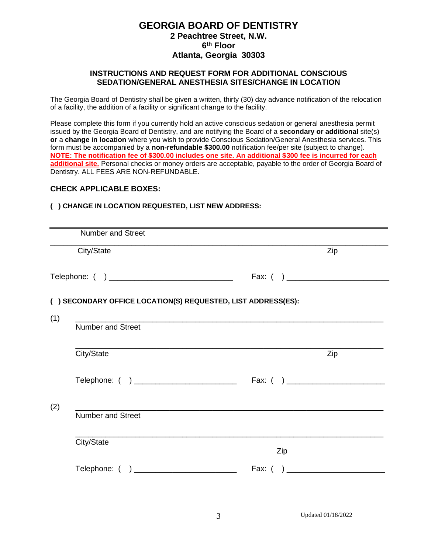# **GEORGIA BOARD OF DENTISTRY 2 Peachtree Street, N.W. 6 th Floor Atlanta, Georgia 30303**

# **INSTRUCTIONS AND REQUEST FORM FOR ADDITIONAL CONSCIOUS SEDATION/GENERAL ANESTHESIA SITES/CHANGE IN LOCATION**

The Georgia Board of Dentistry shall be given a written, thirty (30) day advance notification of the relocation of a facility, the addition of a facility or significant change to the facility.

Please complete this form if you currently hold an active conscious sedation or general anesthesia permit issued by the Georgia Board of Dentistry, and are notifying the Board of a **secondary or additional** site(s) **or** a **change in location** where you wish to provide Conscious Sedation/General Anesthesia services. This form must be accompanied by a **non-refundable \$300.00** notification fee/per site (subject to change). **NOTE: The notification fee of \$300.00 includes one site. An additional \$300 fee is incurred for each additional site.** Personal checks or money orders are acceptable, payable to the order of Georgia Board of Dentistry. ALL FEES ARE NON-REFUNDABLE.

## **CHECK APPLICABLE BOXES:**

#### **( ) CHANGE IN LOCATION REQUESTED, LIST NEW ADDRESS:**

|     | <b>Number and Street</b>                                     |        |     |
|-----|--------------------------------------------------------------|--------|-----|
|     | City/State                                                   |        | Zip |
|     |                                                              |        |     |
|     | () SECONDARY OFFICE LOCATION(S) REQUESTED, LIST ADDRESS(ES): |        |     |
| (1) |                                                              |        |     |
|     | <b>Number and Street</b>                                     |        |     |
|     | City/State                                                   |        | Zip |
|     | Telephone: ( ) ___________________________                   |        |     |
| (2) |                                                              |        |     |
|     | <b>Number and Street</b>                                     |        |     |
|     | City/State                                                   |        |     |
|     |                                                              | Zip    |     |
|     | Telephone: ( ) ___________________________                   | Fax: ( |     |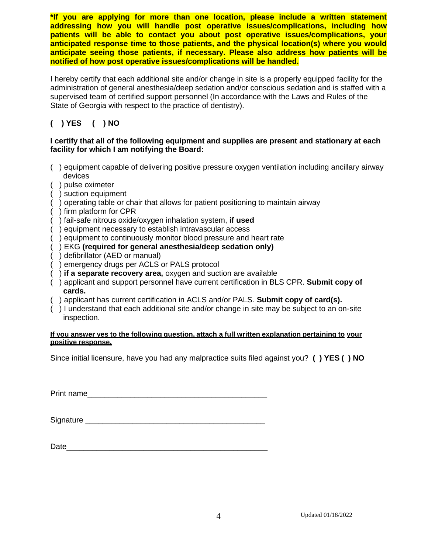**\*If you are applying for more than one location, please include a written statement addressing how you will handle post operative issues/complications, including how patients will be able to contact you about post operative issues/complications, your anticipated response time to those patients, and the physical location(s) where you would anticipate seeing those patients, if necessary. Please also address how patients will be notified of how post operative issues/complications will be handled.**

I hereby certify that each additional site and/or change in site is a properly equipped facility for the administration of general anesthesia/deep sedation and/or conscious sedation and is staffed with a supervised team of certified support personnel (In accordance with the Laws and Rules of the State of Georgia with respect to the practice of dentistry).

# **( ) YES ( ) NO**

# **I certify that all of the following equipment and supplies are present and stationary at each facility for which I am notifying the Board:**

- ( ) equipment capable of delivering positive pressure oxygen ventilation including ancillary airway devices
- ( ) pulse oximeter
- ( ) suction equipment
- ( ) operating table or chair that allows for patient positioning to maintain airway
- ( ) firm platform for CPR
- ( ) fail-safe nitrous oxide/oxygen inhalation system, **if used**
- ( ) equipment necessary to establish intravascular access
- ( ) equipment to continuously monitor blood pressure and heart rate
- ( ) EKG **(required for general anesthesia/deep sedation only)**
- ( ) defibrillator (AED or manual)
- ( ) emergency drugs per ACLS or PALS protocol
- ( ) **if a separate recovery area,** oxygen and suction are available
- ( ) applicant and support personnel have current certification in BLS CPR. **Submit copy of cards.**
- ( ) applicant has current certification in ACLS and/or PALS. **Submit copy of card(s).**
- ( ) I understand that each additional site and/or change in site may be subject to an on-site inspection.

### **If you answer yes to the following question, attach a full written explanation pertaining to your positive response.**

Since initial licensure, have you had any malpractice suits filed against you? **( ) YES ( ) NO**

Print name\_\_\_\_\_\_\_\_\_\_\_\_\_\_\_\_\_\_\_\_\_\_\_\_\_\_\_\_\_\_\_\_\_\_\_\_\_\_\_\_\_\_

| Signature |  |
|-----------|--|
|           |  |

| -<br>ັ<br>- - - - |  |  |  |
|-------------------|--|--|--|
|                   |  |  |  |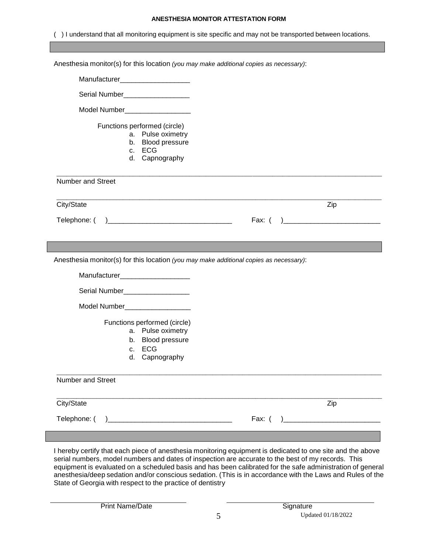#### **ANESTHESIA MONITOR ATTESTATION FORM**

( ) I understand that all monitoring equipment is site specific and may not be transported between locations. Anesthesia monitor(s) for this location *(you may make additional copies as necessary)*: Manufacturer Serial Number Model Number\_\_\_\_\_\_\_\_\_\_\_\_\_\_\_\_\_ Functions performed (circle) a. Pulse oximetry b. Blood pressure c. ECG d. Capnography  $\overline{a}$  , and the set of the set of the set of the set of the set of the set of the set of the set of the set of the set of the set of the set of the set of the set of the set of the set of the set of the set of the set Number and Street  $\overline{\phantom{a}}$  , and the contribution of the contribution of the contribution of the contribution of the contribution of the contribution of the contribution of the contribution of the contribution of the contribution of the City/State Zip Telephone: ( )\_\_\_\_\_\_\_\_\_\_\_\_\_\_\_\_\_\_\_\_\_\_\_\_\_\_\_\_\_\_\_\_ Fax: ( )\_\_\_\_\_\_\_\_\_\_\_\_\_\_\_\_\_\_\_\_\_\_\_\_\_ Anesthesia monitor(s) for this location *(you may make additional copies as necessary)*: Manufacturer\_\_\_\_\_\_\_\_\_\_\_\_\_\_\_\_\_\_\_\_\_\_\_\_ Serial Number Model Number\_\_\_\_\_\_\_\_\_\_\_\_\_\_\_\_\_ Functions performed (circle) a. Pulse oximetry b. Blood pressure c. ECG d. Capnography  $\overline{a}$  , and the set of the set of the set of the set of the set of the set of the set of the set of the set of the set of the set of the set of the set of the set of the set of the set of the set of the set of the set Number and Street  $\overline{a}$  , and the state of the state of the state of the state of the state of the state of the state of the state of the state of the state of the state of the state of the state of the state of the state of the state o City/State Zip Telephone: ( )\_\_\_\_\_\_\_\_\_\_\_\_\_\_\_\_\_\_\_\_\_\_\_\_\_\_\_\_\_\_\_\_ Fax: ( )\_\_\_\_\_\_\_\_\_\_\_\_\_\_\_\_\_\_\_\_\_\_\_\_\_ I hereby certify that each piece of anesthesia monitoring equipment is dedicated to one site and the above serial numbers, model numbers and dates of inspection are accurate to the best of my records. This equipment is evaluated on a scheduled basis and has been calibrated for the safe administration of general anesthesia/deep sedation and/or conscious sedation. (This is in accordance with the Laws and Rules of the

Print Name/Date Signature

State of Georgia with respect to the practice of dentistry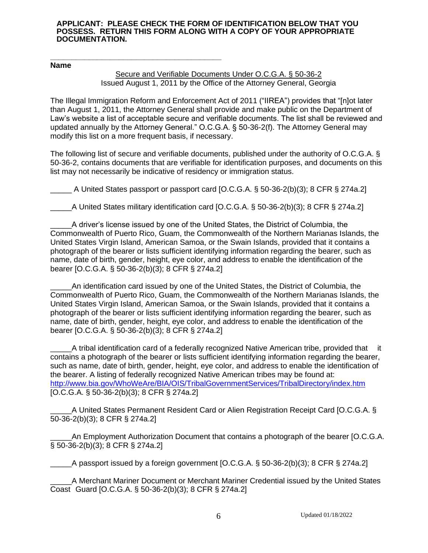#### **APPLICANT: PLEASE CHECK THE FORM OF IDENTIFICATION BELOW THAT YOU POSSESS. RETURN THIS FORM ALONG WITH A COPY OF YOUR APPROPRIATE DOCUMENTATION.**

**\_\_\_\_\_\_\_\_\_\_\_\_\_\_\_\_\_\_\_\_\_\_\_\_\_\_\_\_\_\_\_\_\_\_\_\_\_\_\_\_ Name**

# Secure and Verifiable Documents Under O.C.G.A. § 50-36-2 Issued August 1, 2011 by the Office of the Attorney General, Georgia

The Illegal Immigration Reform and Enforcement Act of 2011 ("IIREA") provides that "[n]ot later than August 1, 2011, the Attorney General shall provide and make public on the Department of Law's website a list of acceptable secure and verifiable documents. The list shall be reviewed and updated annually by the Attorney General." O.C.G.A. § 50-36-2(f). The Attorney General may modify this list on a more frequent basis, if necessary.

The following list of secure and verifiable documents, published under the authority of O.C.G.A. § 50-36-2, contains documents that are verifiable for identification purposes, and documents on this list may not necessarily be indicative of residency or immigration status.

A United States passport or passport card  $[O.C.G.A. \S 50-36-2(b)(3); 8 CFR \S 274a.2]$ 

\_\_\_\_\_A United States military identification card [O.C.G.A. § 50-36-2(b)(3); 8 CFR § 274a.2]

\_\_\_\_\_A driver's license issued by one of the United States, the District of Columbia, the Commonwealth of Puerto Rico, Guam, the Commonwealth of the Northern Marianas Islands, the United States Virgin Island, American Samoa, or the Swain Islands, provided that it contains a photograph of the bearer or lists sufficient identifying information regarding the bearer, such as name, date of birth, gender, height, eye color, and address to enable the identification of the bearer [O.C.G.A. § 50-36-2(b)(3); 8 CFR § 274a.2]

\_\_\_\_\_An identification card issued by one of the United States, the District of Columbia, the Commonwealth of Puerto Rico, Guam, the Commonwealth of the Northern Marianas Islands, the United States Virgin Island, American Samoa, or the Swain Islands, provided that it contains a photograph of the bearer or lists sufficient identifying information regarding the bearer, such as name, date of birth, gender, height, eye color, and address to enable the identification of the bearer [O.C.G.A. § 50-36-2(b)(3); 8 CFR § 274a.2]

A tribal identification card of a federally recognized Native American tribe, provided that it contains a photograph of the bearer or lists sufficient identifying information regarding the bearer, such as name, date of birth, gender, height, eye color, and address to enable the identification of the bearer. A listing of federally recognized Native American tribes may be found at: [http://www.bia.gov/WhoWeAre/BIA/OIS/TribalGovernmentServices/TribalDirectory](http://www.bia.gov/WhoWeAre/BIA/OIS/TribalGovernmentServices/TribalDirector)/index.htm [O.C.G.A. § 50-36-2(b)(3); 8 CFR § 274a.2]

A United States Permanent Resident Card or Alien Registration Receipt Card [O.C.G.A. § 50-36-2(b)(3); 8 CFR § 274a.2]

\_\_\_\_\_An Employment Authorization Document that contains a photograph of the bearer [O.C.G.A. § 50-36-2(b)(3); 8 CFR § 274a.2]

A passport issued by a foreign government  $[O.C.G.A.$  § 50-36-2(b)(3); 8 CFR § 274a.2]

\_\_\_\_\_A Merchant Mariner Document or Merchant Mariner Credential issued by the United States Coast Guard [O.C.G.A. § 50-36-2(b)(3); 8 CFR § 274a.2]